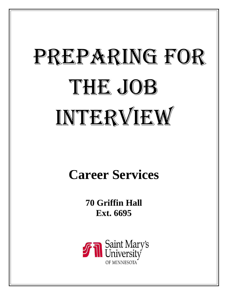# PREPARING FOR THE JOB INTERVIEW

# **Career Services**

**70 Griffin Hall Ext. 6695**

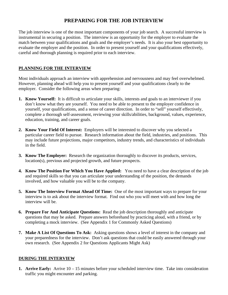# **PREPARING FOR THE JOB INTERVIEW**

The job interview is one of the most important components of your job search. A successful interview is instrumental in securing a position. The interview is an opportunity for the employer to evaluate the match between your qualifications and goals and the employer's needs. It is also your best opportunity to evaluate the employer and the position. In order to present yourself and your qualifications effectively, careful and thorough planning is required prior to each interview.

# **PLANNING FOR THE INTERVIEW**

Most individuals approach an interview with apprehension and nervousness and may feel overwhelmed. However, planning ahead will help you to present yourself and your qualifications clearly to the employer. Consider the following areas when preparing:

- **1. Know Yourself:** It is difficult to articulate your skills, interests and goals to an interviewer if you don't know what they are yourself. You need to be able to present to the employer confidence in yourself, your qualifications, and a sense of career direction. In order to "sell" yourself effectively, complete a thorough self-assessment, reviewing your skills/abilities, background, values, experience, education, training, and career goals.
- **2. Know Your Field Of Interest:** Employers will be interested to discover why you selected a particular career field to pursue. Research information about the field, industries, and positions. This may include future projections, major competitors, industry trends, and characteristics of individuals in the field.
- **3. Know The Employer:** Research the organization thoroughly to discover its products, services, location(s), previous and projected growth, and future prospects.
- **4. Know The Position For Which You Have Applied:** You need to have a clear description of the job and required skills so that you can articulate your understanding of the position, the demands involved, and how valuable you will be to the company.
- **5. Know The Interview Format Ahead Of Time:** One of the most important ways to prepare for your interview is to ask about the interview format. Find out who you will meet with and how long the interview will be.
- **6. Prepare For And Anticipate Questions:** Read the job description thoroughly and anticipate questions that may be asked. Prepare answers beforehand by practicing aloud, with a friend, or by completing a mock interview. (See Appendix 1 for Commonly Asked Questions)
- **7. Make A List Of Questions To Ask:** Asking questions shows a level of interest in the company and your preparedness for the interview. Don't ask questions that could be easily answered through your own research. (See Appendix 2 for Questions Applicants Might Ask)

# **DURING THE INTERVIEW**

**1. Arrive Early:** Arrive 10 – 15 minutes before your scheduled interview time. Take into consideration traffic you might encounter and parking.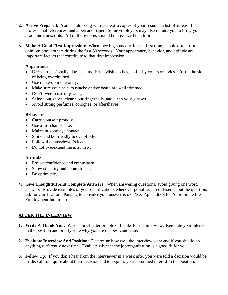- **2. Arrive Prepared:** You should bring with you extra copies of your resume, a list of at least 3 professional references, and a pen and paper. Some employers may also require you to bring your academic transcripts. All of these items should be organized in a folio.
- **3. Make A Good First Impression:** When meeting someone for the first time, people often form opinions about others during the first 30 seconds. Your appearance, behavior, and attitude are important factors that contribute to that first impression.

# **Appearance**

- Dress professionally. Dress in modern stylish clothes, no flashy colors or styles. Err on the side of being overdressed.
- Use make-up moderately.
- Make sure your hair, mustache and/or beard are well trimmed.
- Don't overdo use of jewelry.
- Shine your shoes, clean your fingernails, and clean your glasses.
- Avoid strong perfumes, colognes, or aftershaves.

# **Behavior**

- Carry yourself proudly.
- Use a firm handshake.
- Maintain good eye contact.
- Smile and be friendly to everybody.
- Follow the interviewer's lead.
- Do not overextend the interview.

# **Attitude**

- Project confidence and enthusiasm.
- Show sincerity and commitment.
- Be optimistic.
- **4. Give Thoughtful And Complete Answers:** When answering questions, avoid giving one word answers. Provide examples of your qualifications whenever possible. If confused about the question, ask for clarification. Pausing to consider your answer is ok. (See Appendix 3 for Appropriate Pre-Employment Inquiries)

# **AFTER THE INTERVIEW**

- **1. Write A Thank You:** Write a brief letter or note of thanks for the interview. Reiterate your interest in the position and briefly state why you are the best candidate.
- **2. Evaluate Interview And Position:** Determine how well the interview went and if you should do anything differently next time. Evaluate whether the job/organization is a good fit for you.
- **3. Follow Up:** If you don't hear from the interviewer in a week after you were told a decision would be made, call to inquire about their decision and to express your continued interest in the position.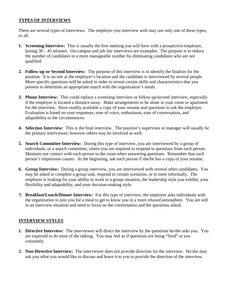# **TYPES OF INTERVIEWS**

There are several types of interviews. The employer you interview with may use only one of these types, or all.

- **1. Screening Interview:** This is usually the first meeting you will have with a prospective employer, lasting 30 – 45 minutes. On-campus and job fair interviews are examples. The purpose is to reduce the number of candidates to a more manageable number by eliminating candidates who are not qualified.
- **2. Follow-up or Second Interview:** The purpose of this interview is to identify the finalists for the position. It is on-site at the employer's location and the candidate is interviewed by several people. More specific questions will be asked in order to reveal certain skills and characteristics that you possess to determine an appropriate match with the organization's needs.
- **3. Phone Interview:** This could replace a screening interview or follow up/second interview, especially if the employer is located a distance away. Make arrangements to be alone in your room or apartment for the interview. Have readily available a copy of your resume and questions to ask the employer. Evaluation is based on your responses, tone of voice, enthusiasm, ease of conversation, and adaptability to the circumstances.
- **4. Selection Interview:** This is the final interview. The position's supervisor or manager will usually be the primary interviewer; however others may be involved as well.
- **5. Search Committee Interview:** During this type of interview, you are interviewed by a group of individuals, or a search committee, where you are required to respond to questions from each person. Maintain eye contact with each person in the room when answering questions. Remember that each person's impression counts. At the beginning, ask each person if she/he has a copy of your resume.
- **6. Group Interview:** During a group interview, you are interviewed with several other candidates. You may be asked to complete a group task, respond to certain scenarios, or to meet informally. The employer is looking for your ability to work in a group situation, the leadership style you exhibit, your flexibility and adaptability, and your decision-making style.
- **7. Breakfast/Lunch/Dinner Interview:** For this type of interview, the employer asks individuals with the organization to join you for a meal to get to know you in a more relaxed atmosphere. You are still in an interview situation and need to focus on the conversation and the questions asked.

# **INTERVIEW STYLES**

- **1. Directive Interview:** The interviewer will direct the interview by the questions he/she asks you. You are expected to do most of the talking. You may feel as if questions are being "fired" at you constantly.
- **2. Non-Directive Interview:** The interviewer does not provide direction for the interview. He/she may ask you what you would like to discuss and leave it to you to provide the direction of the interview.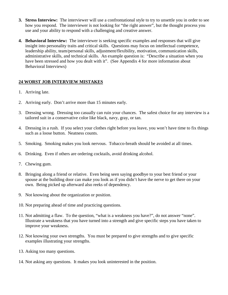- **3. Stress Interview:** The interviewer will use a confrontational style to try to unsettle you in order to see how you respond. The interviewer is not looking for "the right answer", but the thought process you use and your ability to respond with a challenging and creative answer.
- **4. Behavioral Interview:** The interviewer is seeking specific examples and responses that will give insight into personality traits and critical skills. Questions may focus on intellectual competence, leadership ability, team/personal skills, adjustment/flexibility, motivation, communication skills, administrative skills, and technical skills. An example question is: "Describe a situation when you have been stressed and how you dealt with it". (See Appendix 4 for more information about Behavioral Interviews)

# **24 WORST JOB INTERVIEW MISTAKES**

- 1. Arriving late.
- 2. Arriving early. Don't arrive more than 15 minutes early.
- 3. Dressing wrong. Dressing too casually can ruin your chances. The safest choice for any interview is a tailored suit in a conservative color like black, navy, gray, or tan.
- 4. Dressing in a rush. If you select your clothes right before you leave, you won't have time to fix things such as a loose button. Neatness counts.
- 5. Smoking. Smoking makes you look nervous. Tobacco-breath should be avoided at all times.
- 6. Drinking. Even if others are ordering cocktails, avoid drinking alcohol.
- 7. Chewing gum.
- 8. Bringing along a friend or relative. Even being seen saying goodbye to your best friend or your spouse at the building door can make you look as if you didn't have the nerve to get there on your own. Being picked up afterward also reeks of dependency.
- 9. Not knowing about the organization or position.
- 10. Not preparing ahead of time and practicing questions.
- 11. Not admitting a flaw. To the question, "what is a weakness you have?", do not answer "none". Illustrate a weakness that you have turned into a strength and give specific steps you have taken to improve your weakness.
- 12. Not knowing your own strengths. You must be prepared to give strengths and to give specific examples illustrating your strengths.
- 13. Asking too many questions.
- 14. Not asking any questions. It makes you look uninterested in the position.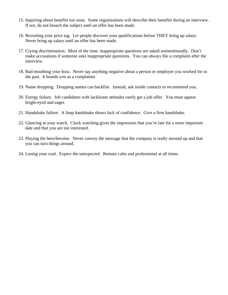- 15. Inquiring about benefits too soon. Some organizations will describe their benefits during an interview. If not, do not broach the subject until an offer has been made.
- 16. Revealing your price tag. Let people discover your qualifications before THEY bring up salary. Never bring up salary until an offer has been made.
- 17. Crying discrimination. Most of the time, inappropriate questions are asked unintentionally. Don't make accusations if someone asks inappropriate questions. You can always file a complaint after the interview.
- 18. Bad-mouthing your boss. Never say anything negative about a person or employer you worked for in the past. It brands you as a complainer.
- 19. Name dropping. Dropping names can backfire. Instead, ask inside contacts to recommend you.
- 20. Energy failure. Job candidates with lackluster attitudes rarely get a job offer. You must appear bright-eyed and eager.
- 21. Handshake failure. A limp handshake shows lack of confidence. Give a firm handshake.
- 22. Glancing at your watch. Clock watching gives the impression that you're late for a more important date and that you are not interested.
- 23. Playing the hero/heroine. Never convey the message that the company is really messed up and that you can turn things around.
- 24. Losing your cool. Expect the unexpected. Remain calm and professional at all times.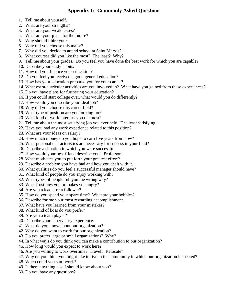# **Appendix 1: Commonly Asked Questions**

- 1. Tell me about yourself.
- 2. What are your strengths?
- 3. What are your weaknesses?
- 4. What are your plans for the future?
- 5. Why should I hire you?
- 6. Why did you choose this major?
- 7. Why did you decide to attend school at Saint Mary's?
- 8. What courses did you like the most? The least? Why?
- 9. Tell me about your grades. Do you feel you have done the best work for which you are capable?
- 10. Describe your study habits.
- 11. How did you finance your education?
- 12. Do you feel you received a good general education?
- 13. How has your education prepared you for your career?
- 14. What extra-curricular activities are you involved in? What have you gained from these experiences?
- 15. Do you have plans for furthering your education?
- 16. If you could start college over, what would you do differently?
- 17. How would you describe your ideal job?
- 18. Why did you choose this career field?
- 19. What type of position are you looking for?
- 20. What kind of work interests you the most?
- 21. Tell me about the most satisfying job you ever held. The least satisfying.
- 22. Have you had any work experience related to this position?
- 23. What are your ideas on salary?
- 24. How much money do you hope to earn five years from now?
- 25. What personal characteristics are necessary for success in your field?
- 26. Describe a situation in which you were successful.
- 27. How would your best friend describe you? Professor?
- 28. What motivates you to put forth your greatest effort?
- 29. Describe a problem you have had and how you dealt with it.
- 30. What qualities do you feel a successful manager should have?
- 31. What kind of people do you enjoy working with?
- 32. What types of people rub you the wrong way?
- 33. What frustrates you or makes you angry?
- 34. Are you a leader or a follower?
- 35. How do you spend your spare time? What are your hobbies?
- 36. Describe for me your most rewarding accomplishment.
- 37. What have you learned from your mistakes?
- 38. What kind of boss do you prefer?
- 39. Are you a team player?
- 40. Describe your supervisory experience.
- 41. What do you know about our organization?
- 42. Why do you want to work for our organization?
- 43. Do you prefer large or small organizations? Why?
- 44. In what ways do you think you can make a contribution to our organization?
- 45. How long would you expect to work here?
- 46. Are you willing to work overtime? Travel? Relocate?
- 47. Why do you think you might like to live in the community in which our organization is located?
- 48. When could you start work?
- 49. Is there anything else I should know about you?
- 50. Do you have any questions?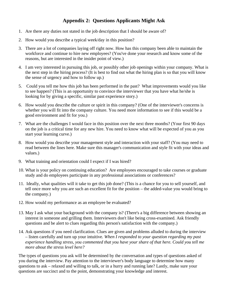# **Appendix 2: Questions Applicants Might Ask**

- 1. Are there any duties not stated in the job description that I should be aware of?
- 2. How would you describe a typical week/day in this position?
- 3. There are a lot of companies laying off right now. How has this company been able to maintain the workforce and continue to hire new employees? (You've done your research and know some of the reasons, but are interested in the insider point of view.)
- 4. I am very interested in pursuing this job, or possibly other job openings within your company. What is the next step in the hiring process? (It is best to find out what the hiring plan is so that you will know the sense of urgency and how to follow up.)
- 5. Could you tell me how this job has been performed in the past? What improvements would you like to see happen? (This is an opportunity to convince the interviewer that you have what he/she is looking for by giving a specific, similar past experience story.)
- 6. How would you describe the culture or spirit in this company? (One of the interviewer's concerns is whether you will fit into the company culture. You need more information to see if this would be a good environment and fit for you.)
- 7. What are the challenges I would face in this position over the next three months? (Your first 90 days on the job is a critical time for any new hire. You need to know what will be expected of you as you start your learning curve.)
- 8. How would you describe your management style and interaction with your staff? (You may need to read between the lines here. Make sure this manager's communication and style fit with your ideas and values.)
- 9. What training and orientation could I expect if I was hired?
- 10. What is your policy on continuing education? Are employees encouraged to take courses or graduate study and do employees participate in any professional associations or conferences?
- 11. Ideally, what qualities will it take to get this job done? (This is a chance for you to sell yourself, and tell once more why you are such an excellent fit for the position – the added-value you would bring to the company.)
- 12. How would my performance as an employee be evaluated?
- 13. May I ask what your background with the company is? (There's a big difference between showing an interest in someone and grilling them. Interviewers don't like being cross-examined. Ask friendly questions and be alert to clues regarding this person's satisfaction with the company.)
- 14. Ask questions if you need clarification. Clues are given and problems alluded to during the interview – listen carefully and turn up your intuitive*. When I responded to your question regarding my past experience handling stress, you commented that you have your share of that here. Could you tell me more about the stress level here?*

The types of questions you ask will be determined by the conversation and types of questions asked of you during the interview. Pay attention to the interviewer's body language to determine how many questions to ask – relaxed and willing to talk, or in a hurry and running late? Lastly, make sure your questions are succinct and to the point, demonstrating your knowledge and interest.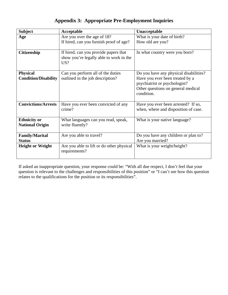| <b>Subject</b>                                 | Acceptable                                                                              | Unacceptable                                                                                                                                                   |
|------------------------------------------------|-----------------------------------------------------------------------------------------|----------------------------------------------------------------------------------------------------------------------------------------------------------------|
| Age                                            | Are you over the age of 18?                                                             | What is your date of birth?                                                                                                                                    |
|                                                | If hired, can you furnish proof of age?                                                 | How old are you?                                                                                                                                               |
| Citizenship                                    | If hired, can you provide papers that<br>show you're legally able to work in the<br>US? | In what country were you born?                                                                                                                                 |
| <b>Physical</b><br><b>Condition/Disability</b> | Can you perform all of the duties<br>outlined in the job description?                   | Do you have any physical disabilities?<br>Have you ever been treated by a<br>psychiatrist or psychologist?<br>Other questions on general medical<br>condition. |
| <b>Convictions/Arrests</b>                     | Have you ever been convicted of any<br>crime?                                           | Have you ever been arrested? If so,<br>when, where and disposition of case.                                                                                    |
| <b>Ethnicity or</b><br><b>National Origin</b>  | What languages can you read, speak,<br>write fluently?                                  | What is your native language?                                                                                                                                  |
| <b>Family/Marital</b><br><b>Status</b>         | Are you able to travel?                                                                 | Do you have any children or plan to?<br>Are you married?                                                                                                       |
| <b>Height or Weight</b>                        | Are you able to lift or do other physical<br>requirements?                              | What is your weight/height?                                                                                                                                    |

# **Appendix 3: Appropriate Pre-Employment Inquiries**

If asked an inappropriate question, your response could be: "With all due respect, I don't feel that your question is relevant to the challenges and responsibilities of this position" or "I can't see how this question relates to the qualifications for the position or its responsibilities".